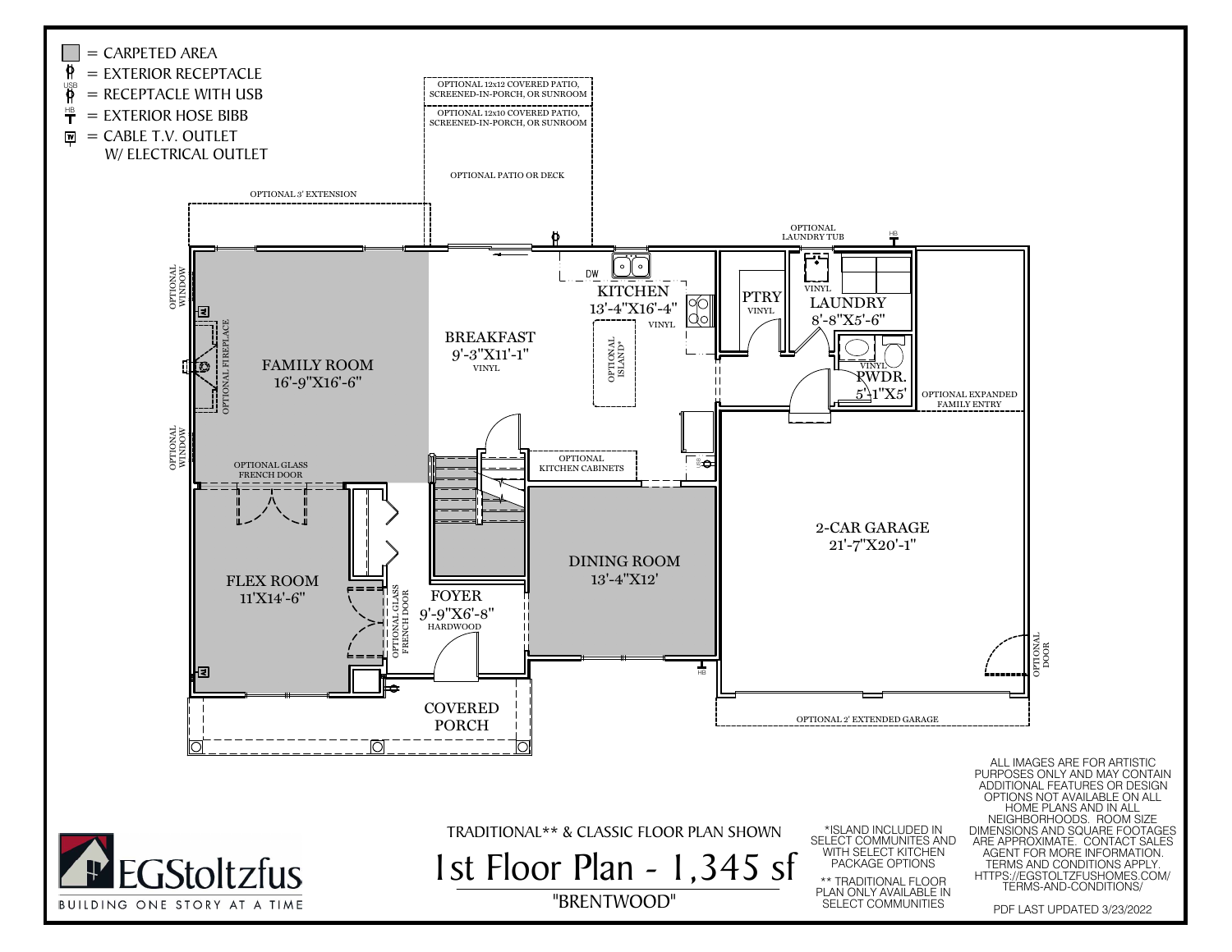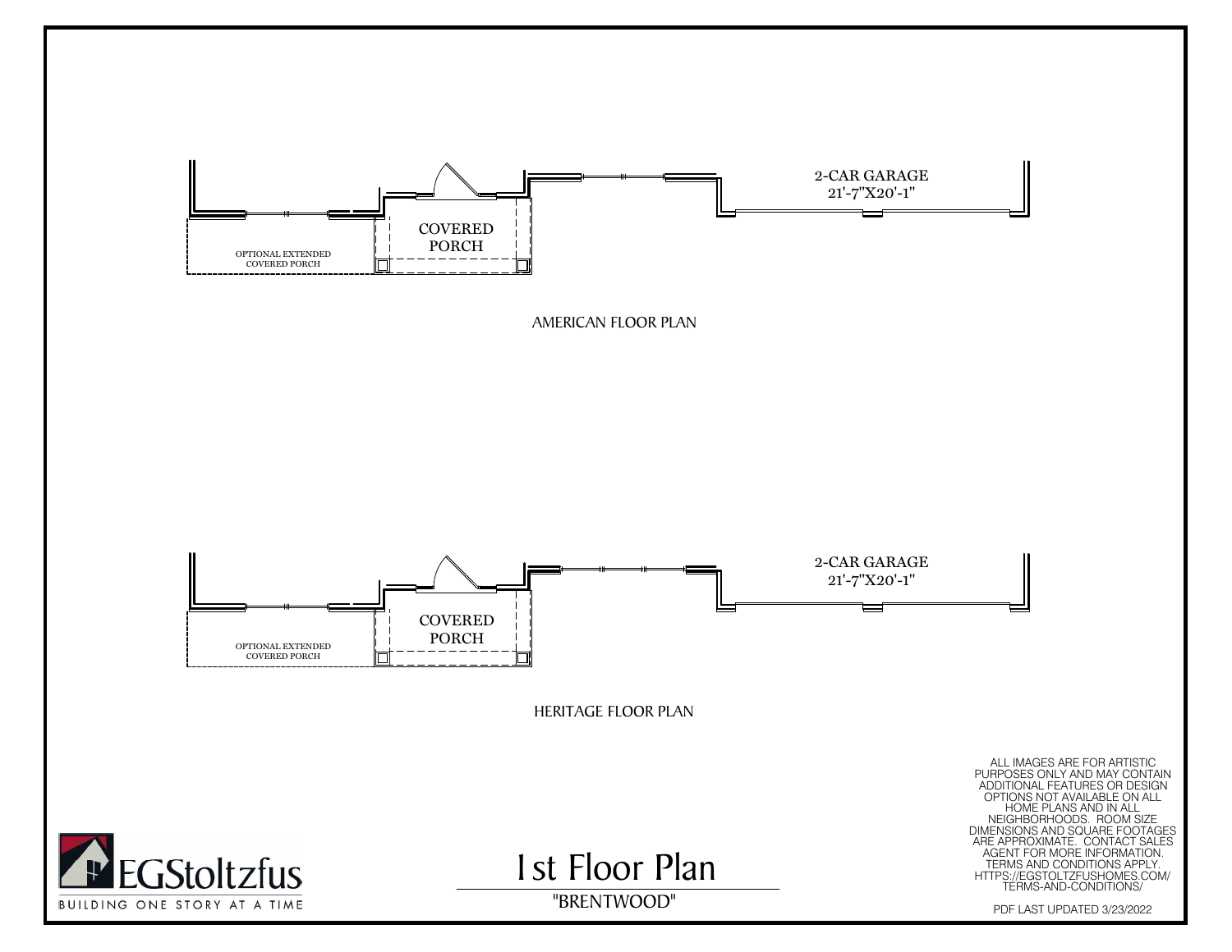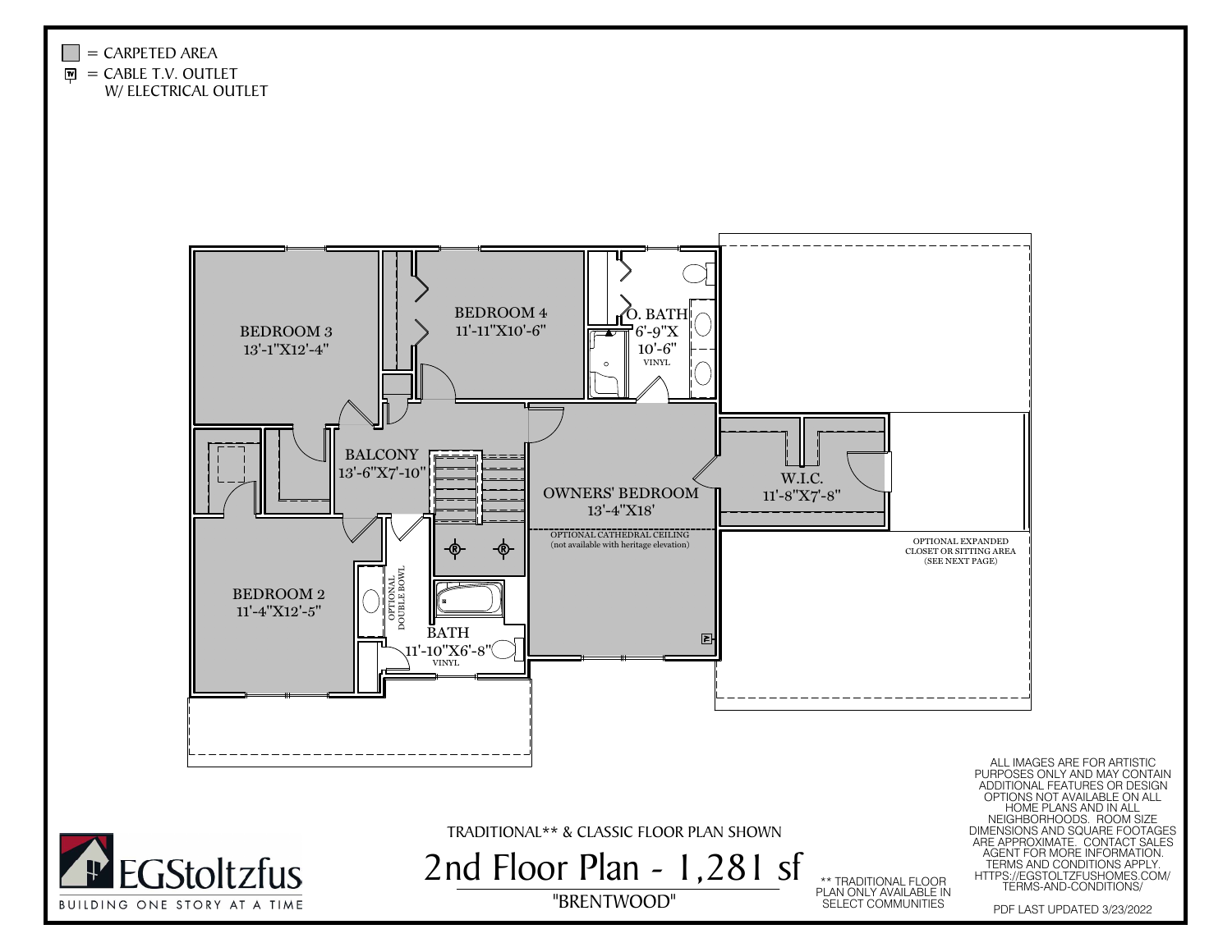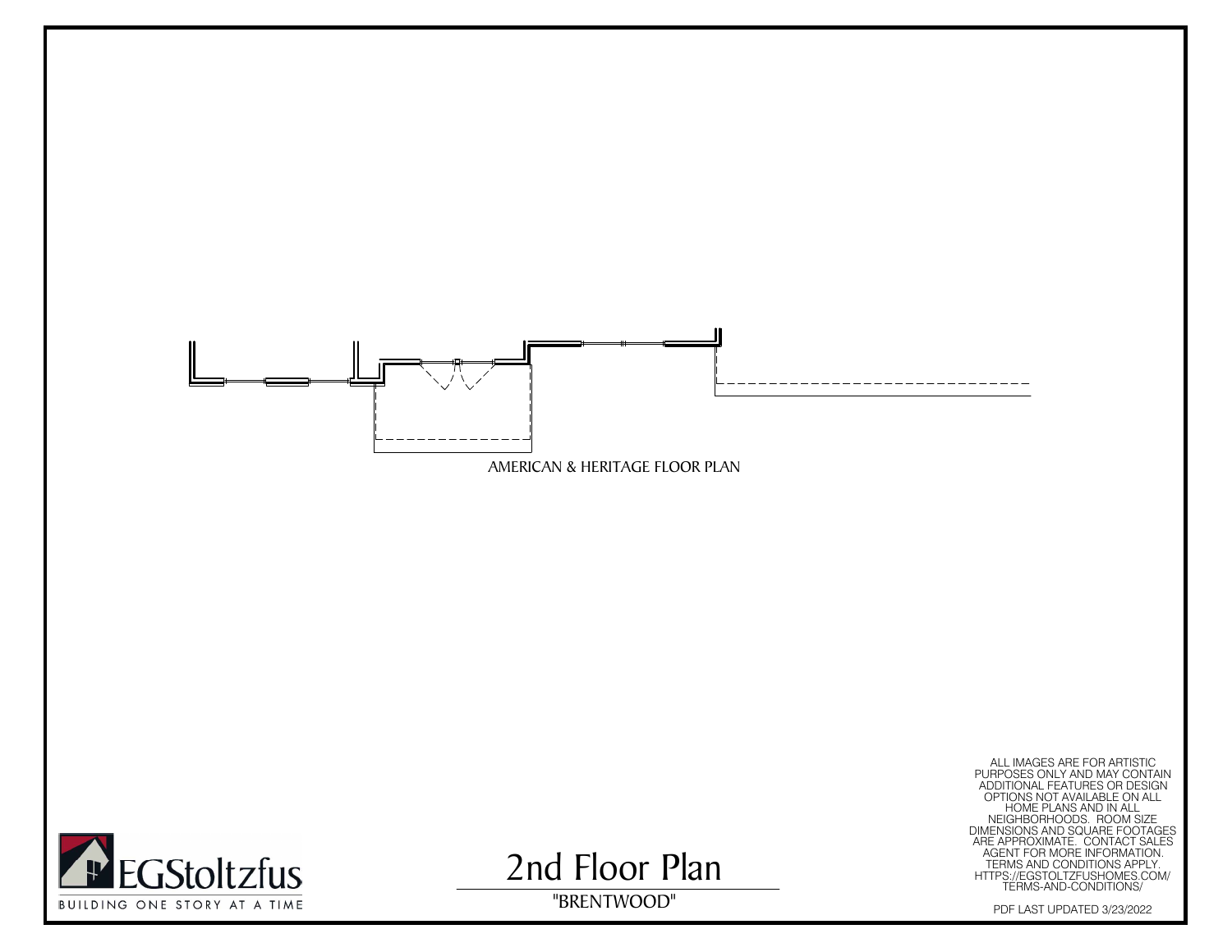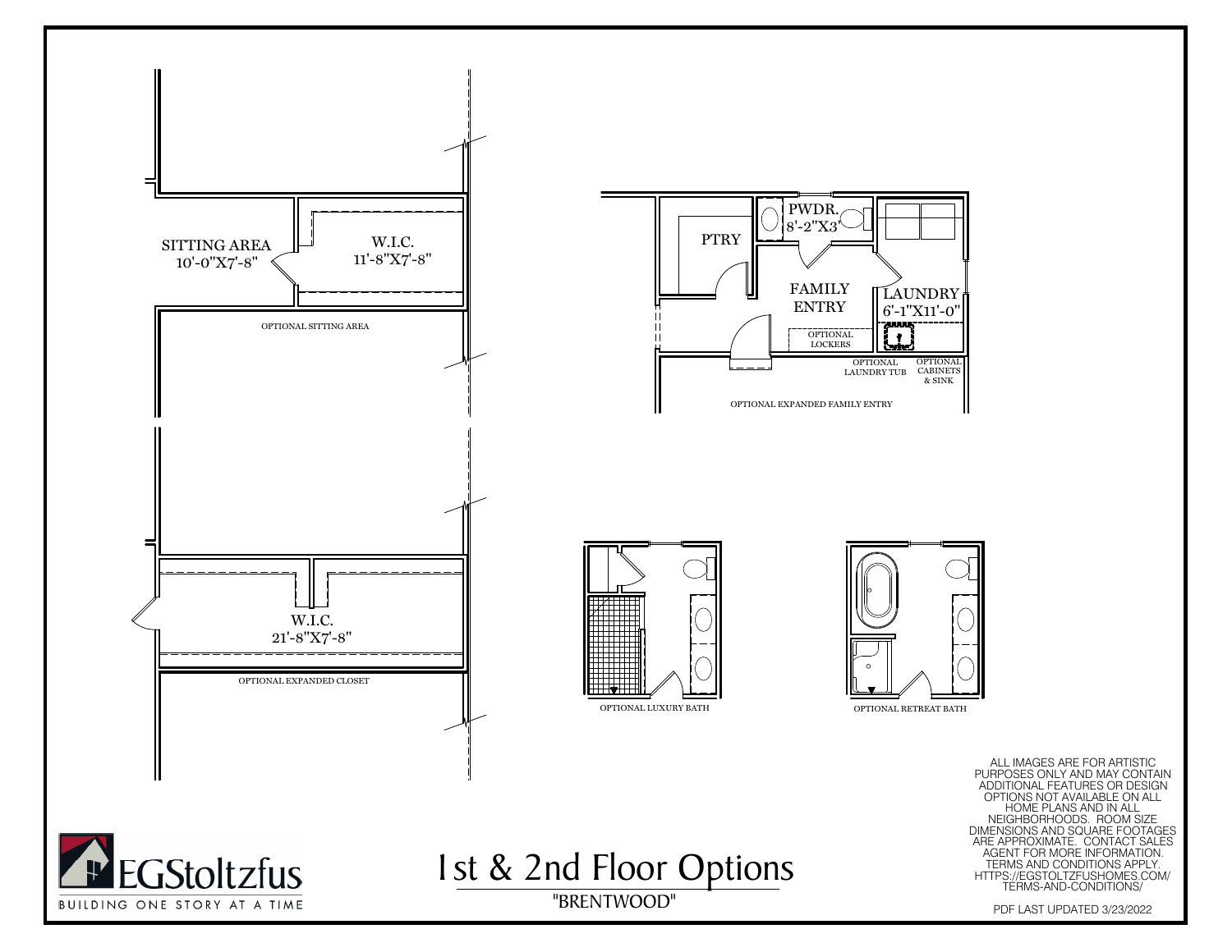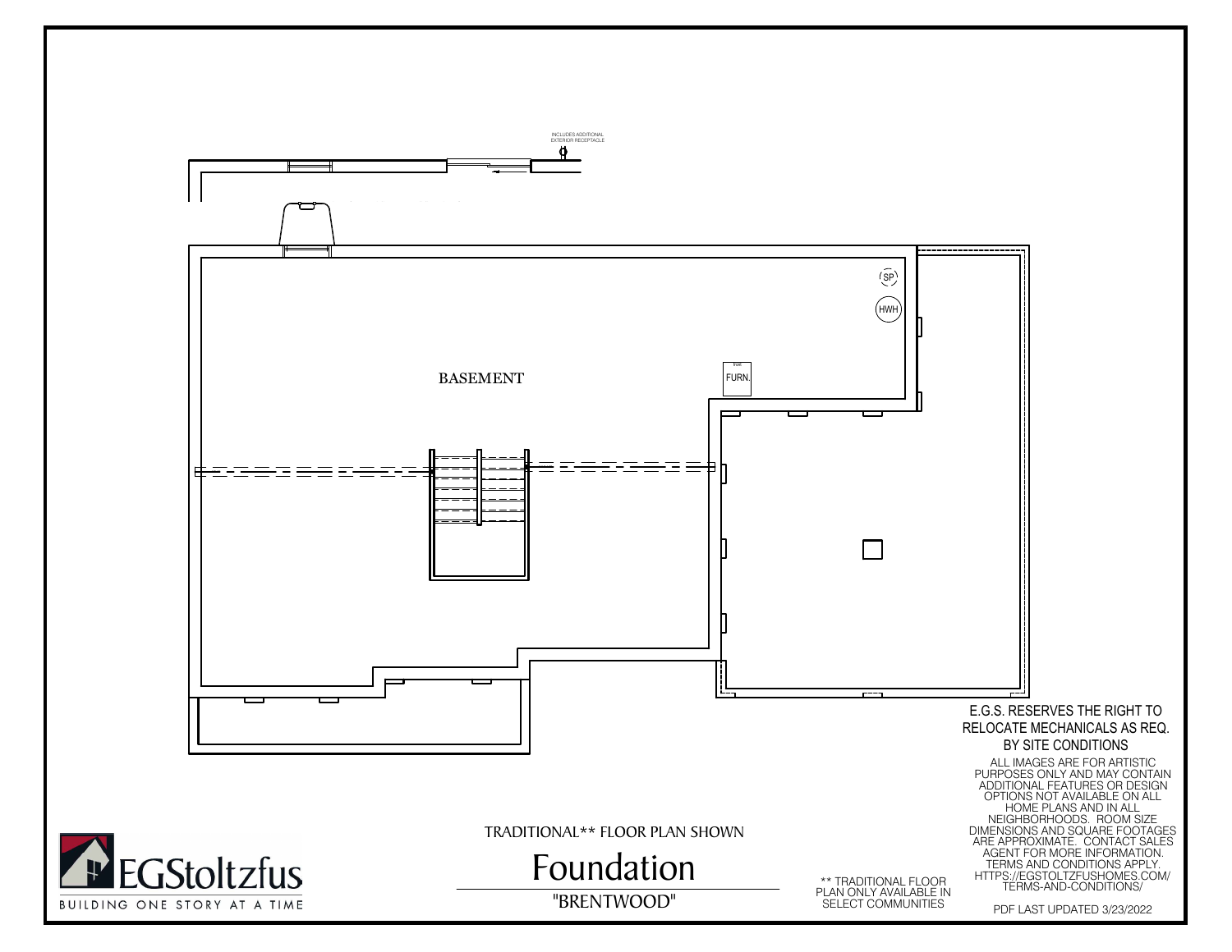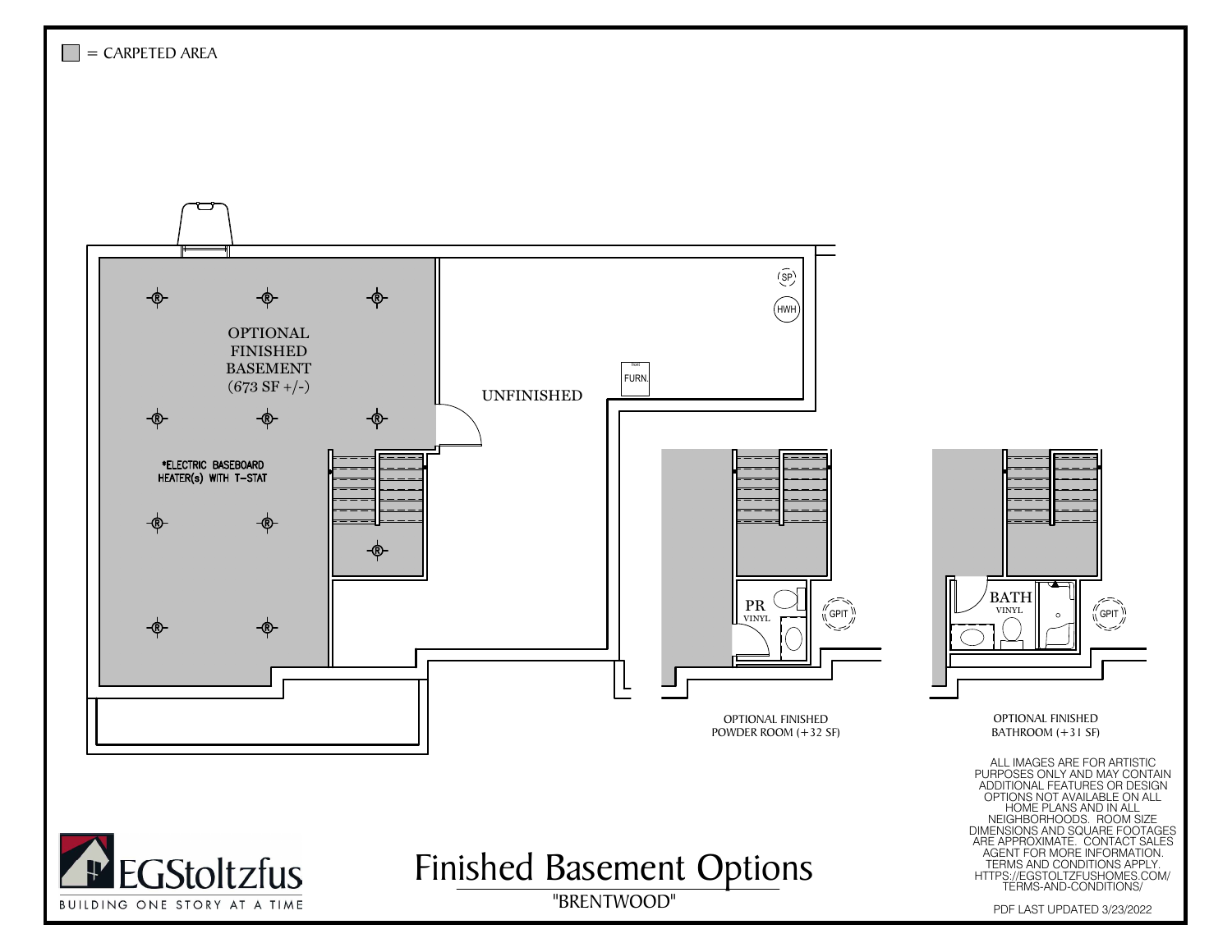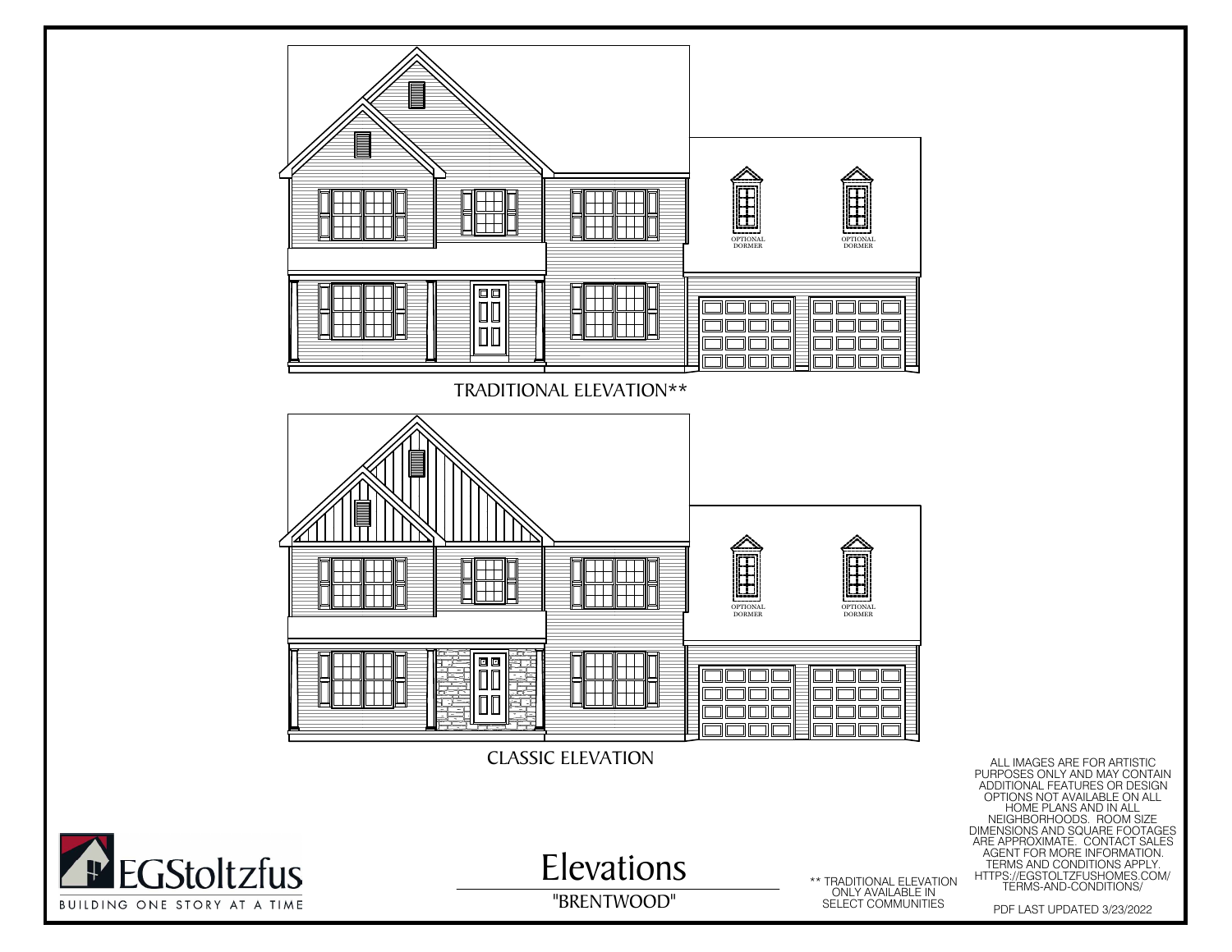